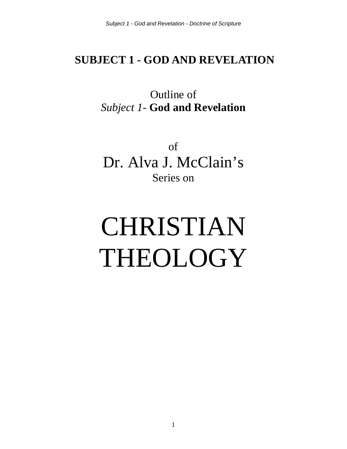# **SUBJECT 1 - GOD AND REVELATION**

# Outline of *Subject 1*- **God and Revelation**

of Dr. Alva J. McClain's Series on

# CHRISTIAN THEOLOGY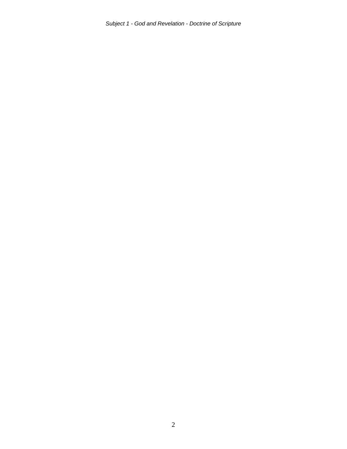*Subject 1 - God and Revelation - Doctrine of Scripture*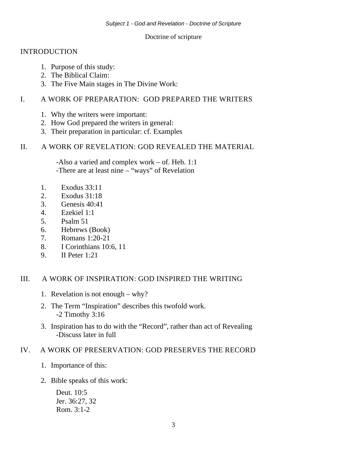#### Doctrine of scripture

#### INTRODUCTION

- 1. Purpose of this study:
- 2. The Biblical Claim:
- 3. The Five Main stages in The Divine Work:

# I. A WORK OF PREPARATION: GOD PREPARED THE WRITERS

- 1. Why the writers were important:
- 2. How God prepared the writers in general:
- 3. Their preparation in particular: cf. Examples

#### II. A WORK OF REVELATION: GOD REVEALED THE MATERIAL

-Also a varied and complex work – of. Heb. 1:1 -There are at least nine – "ways" of Revelation

- 1. Exodus 33:11
- 2. Exodus 31:18
- 3. Genesis 40:41
- 4. Ezekiel 1:1
- 5. Psalm 51
- 6. Hebrews (Book)
- 7. Romans 1:20-21
- 8. I Corinthians 10:6, 11
- 9. II Peter 1:21

#### III. A WORK OF INSPIRATION: GOD INSPIRED THE WRITING

- 1. Revelation is not enough why?
- 2. The Term "Inspiration" describes this twofold work. -2 Timothy 3:16
- 3. Inspiration has to do with the "Record", rather than act of Revealing -Discuss later in full

#### IV. A WORK OF PRESERVATION: GOD PRESERVES THE RECORD

- 1. Importance of this:
- 2. Bible speaks of this work:

Deut. 10:5 Jer. 36:27, 32 Rom. 3:1-2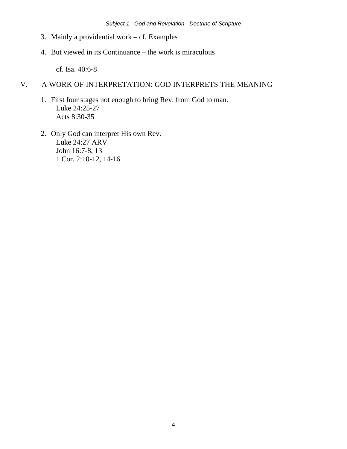- 3. Mainly a providential work cf. Examples
- 4. But viewed in its Continuance the work is miraculous

cf. Isa. 40:6-8

# V. A WORK OF INTERPRETATION: GOD INTERPRETS THE MEANING

- 1. First four stages not enough to bring Rev. from God to man. Luke 24:25-27 Acts 8:30-35
- 2. Only God can interpret His own Rev. Luke 24:27 ARV John 16:7-8, 13 1 Cor. 2:10-12, 14-16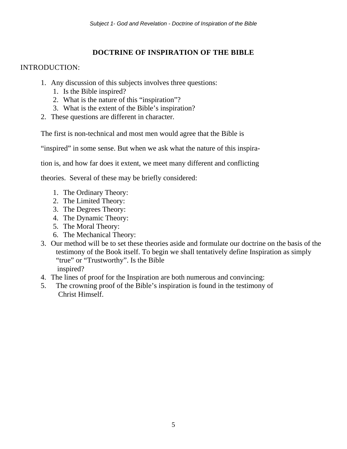# **DOCTRINE OF INSPIRATION OF THE BIBLE**

#### INTRODUCTION:

- 1. Any discussion of this subjects involves three questions:
	- 1. Is the Bible inspired?
	- 2. What is the nature of this "inspiration"?
	- 3. What is the extent of the Bible's inspiration?
- 2. These questions are different in character.

The first is non-technical and most men would agree that the Bible is

"inspired" in some sense. But when we ask what the nature of this inspira-

tion is, and how far does it extent, we meet many different and conflicting

theories. Several of these may be briefly considered:

- 1. The Ordinary Theory:
- 2. The Limited Theory:
- 3. The Degrees Theory:
- 4. The Dynamic Theory:
- 5. The Moral Theory:
- 6. The Mechanical Theory:
- 3. Our method will be to set these theories aside and formulate our doctrine on the basis of the testimony of the Book itself. To begin we shall tentatively define Inspiration as simply "true" or "Trustworthy". Is the Bible inspired?
- 4. The lines of proof for the Inspiration are both numerous and convincing:
- 5. The crowning proof of the Bible's inspiration is found in the testimony of Christ Himself.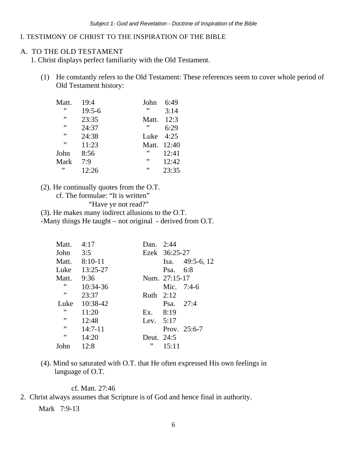#### I. TESTIMONY OF CHRIST TO THE INSPIRATION OF THE BIBLE

#### A. TO THE OLD TESTAMENT

1. Christ displays perfect familiarity with the Old Testament.

(1) He constantly refers to the Old Testament: These references seem to cover whole period of Old Testament history:

| Matt. | 19:4     | John  | 6:49        |
|-------|----------|-------|-------------|
| ,,    | $19:5-6$ | ,,    | 3:14        |
| ,,    | 23:35    | Matt. | 12:3        |
| ,,    | 24:37    | ,,    | 6:29        |
| ,,    | 24:38    | Luke  | 4:25        |
| ,,    | 11:23    |       | Matt. 12:40 |
| John  | 8:56     | ,,    | 12:41       |
| Mark  | 7:9      | ,,    | 12:42       |
| ,,    | 12:26    | ,,    | 23:35       |

(2). He continually quotes from the O.T.

cf. The formulae: "It is written"

"Have ye not read?"

(3). He makes many indirect allusions to the O.T.

-Many things He taught – not original - derived from O.T.

| 4:17               |    |              |                                                                                              |
|--------------------|----|--------------|----------------------------------------------------------------------------------------------|
| 3:5                |    |              |                                                                                              |
| Matt. 8:10-11      |    |              | Isa. $49:5-6, 12$                                                                            |
| $13:25-27$<br>Luke |    | Psa. 6:8     |                                                                                              |
| 9:36               |    |              |                                                                                              |
| 10:34-36           |    | Mic. $7:4-6$ |                                                                                              |
| 23:37              |    |              |                                                                                              |
| 10:38-42           |    | Psa. 27:4    |                                                                                              |
| 11:20              |    | 8:19         |                                                                                              |
| 12:48              |    |              |                                                                                              |
| $14:7-11$          |    |              | Prov. $25:6-7$                                                                               |
| 14:20              |    |              |                                                                                              |
| 12:8               | ,, | 15:11        |                                                                                              |
|                    |    |              | Dan. 2:44<br>Ezek 36:25-27<br>Num. 27:15-17<br>Ruth 2:12<br>Ex.<br>Lev. $5:17$<br>Deut. 24:5 |

(4). Mind so saturated with O.T. that He often expressed His own feelings in language of O.T.

#### cf. Matt. 27:46

2. Christ always assumes that Scripture is of God and hence final in authority.

Mark 7:9-13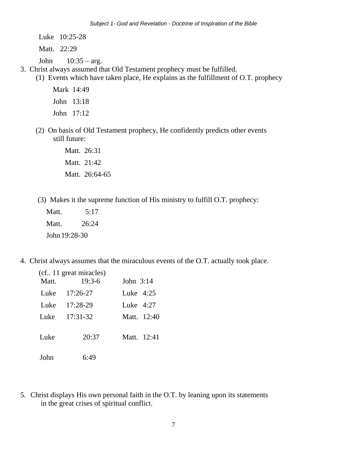Luke 10:25-28

Matt. 22:29

John  $10:35 - arg$ .

3. Christ always assumed that Old Testament prophecy must be fulfilled.

(1) Events which have taken place, He explains as the fulfillment of O.T. prophecy

 Mark 14:49 John 13:18 John 17:12

(2) On basis of Old Testament prophecy, He confidently predicts other events still future:

> Matt. 26:31 Matt. 21:42 Matt. 26:64-65

(3) Makes it the supreme function of His ministry to fulfill O.T. prophecy:

 Matt. 5:17 Matt. 26:24 John 19:28-30

4. Christ always assumes that the miraculous events of the O.T. actually took place.

| (cf., 11 great miracles) |       |               |             |  |  |
|--------------------------|-------|---------------|-------------|--|--|
|                          | Matt. | $19:3-6$      | John $3:14$ |  |  |
|                          |       | Luke 17:26-27 | Luke $4:25$ |  |  |
|                          | Luke  | 17:28-29      | Luke $4:27$ |  |  |
|                          | Luke  | 17:31-32      | Matt. 12:40 |  |  |
|                          | Luke  | 20:37         | Matt. 12:41 |  |  |
|                          | John  | 6:49          |             |  |  |

5. Christ displays His own personal faith in the O.T. by leaning upon its statements in the great crises of spiritual conflict.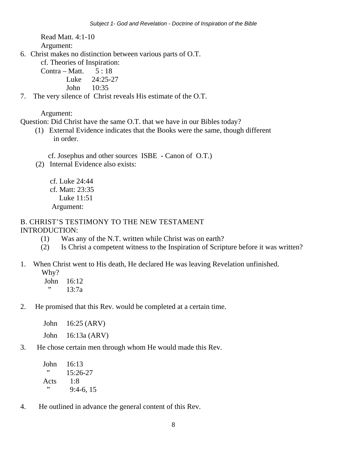Read Matt. 4:1-10 Argument:

6. Christ makes no distinction between various parts of O.T.

cf. Theories of Inspiration:

- Contra Matt.  $5:18$  Luke 24:25-27 John 10:35
- 7. The very silence of Christ reveals His estimate of the O.T.

Argument:

Question: Did Christ have the same O.T. that we have in our Bibles today?

- (1) External Evidence indicates that the Books were the same, though different in order.
	- cf. Josephus and other sources ISBE Canon of O.T.)
- (2) Internal Evidence also exists:

 cf. Luke 24:44 cf. Matt: 23:35 Luke 11:51 Argument:

#### B. CHRIST'S TESTIMONY TO THE NEW TESTAMENT INTRODUCTION:

- (1) Was any of the N.T. written while Christ was on earth?
- (2) Is Christ a competent witness to the Inspiration of Scripture before it was written?
- 1. When Christ went to His death, He declared He was leaving Revelation unfinished. Why?
	- John 16:12 " 13:7a
- 2. He promised that this Rev. would be completed at a certain time.
	- John 16:25 (ARV) John 16:13a (ARV)
- 3. He chose certain men through whom He would made this Rev.

 John 16:13  $"$  15:26-27 Acts 1:8  $9:4-6, 15$ 

4. He outlined in advance the general content of this Rev.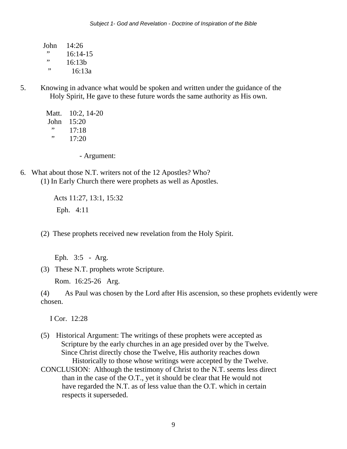| John | 14:26    |
|------|----------|
| ,,   | 16:14-15 |
| ,,   | 16:13b   |
| ,,   | 16:13a   |

- 5. Knowing in advance what would be spoken and written under the guidance of the Holy Spirit, He gave to these future words the same authority as His own.
	- Matt. 10:2, 14-20 John 15:20  $"$  17:18  $"$  17:20

- Argument:

6. What about those N.T. writers not of the 12 Apostles? Who? (1) In Early Church there were prophets as well as Apostles.

> Acts 11:27, 13:1, 15:32 Eph. 4:11

(2) These prophets received new revelation from the Holy Spirit.

Eph. 3:5 - Arg.

(3) These N.T. prophets wrote Scripture.

Rom. 16:25-26 Arg.

 (4) As Paul was chosen by the Lord after His ascension, so these prophets evidently were chosen.

I Cor. 12:28

- (5) Historical Argument: The writings of these prophets were accepted as Scripture by the early churches in an age presided over by the Twelve. Since Christ directly chose the Twelve, His authority reaches down Historically to those whose writings were accepted by the Twelve.
- CONCLUSION: Although the testimony of Christ to the N.T. seems less direct than in the case of the O.T., yet it should be clear that He would not have regarded the N.T. as of less value than the O.T. which in certain respects it superseded.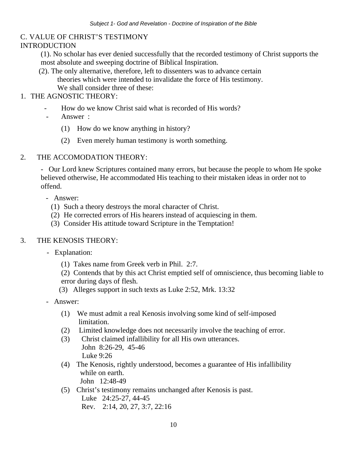# C. VALUE OF CHRIST'S TESTIMONY

# INTRODUCTION

(1). No scholar has ever denied successfully that the recorded testimony of Christ supports the most absolute and sweeping doctrine of Biblical Inspiration.

 (2). The only alternative, therefore, left to dissenters was to advance certain theories which were intended to invalidate the force of His testimony. We shall consider three of these:

# 1. THE AGNOSTIC THEORY:

- How do we know Christ said what is recorded of His words?
- Answer :
	- (1) How do we know anything in history?
	- (2) Even merely human testimony is worth something.

# 2. THE ACCOMODATION THEORY:

- Our Lord knew Scriptures contained many errors, but because the people to whom He spoke believed otherwise, He accommodated His teaching to their mistaken ideas in order not to offend.

- Answer:
	- (1) Such a theory destroys the moral character of Christ.
	- (2) He corrected errors of His hearers instead of acquiescing in them.
	- (3) Consider His attitude toward Scripture in the Temptation!

# 3. THE KENOSIS THEORY:

- Explanation:
	- (1) Takes name from Greek verb in Phil. 2:7.

(2) Contends that by this act Christ emptied self of omniscience, thus becoming liable to error during days of flesh.

- (3) Alleges support in such texts as Luke 2:52, Mrk. 13:32
- Answer:
	- (1) We must admit a real Kenosis involving some kind of self-imposed limitation.
	- (2) Limited knowledge does not necessarily involve the teaching of error.
	- (3) Christ claimed infallibility for all His own utterances. John 8:26-29, 45-46 Luke 9:26
	- (4) The Kenosis, rightly understood, becomes a guarantee of His infallibility while on earth. John 12:48-49
	- (5) Christ's testimony remains unchanged after Kenosis is past. Luke 24:25-27, 44-45 Rev. 2:14, 20, 27, 3:7, 22:16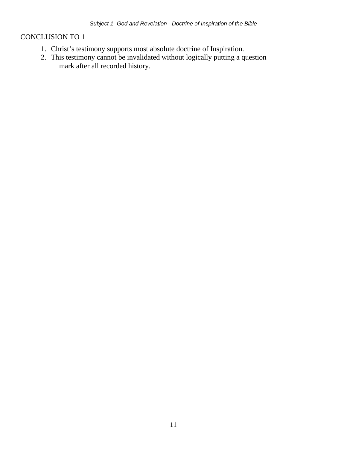#### CONCLUSION TO 1

- 1. Christ's testimony supports most absolute doctrine of Inspiration.
- 2. This testimony cannot be invalidated without logically putting a question mark after all recorded history.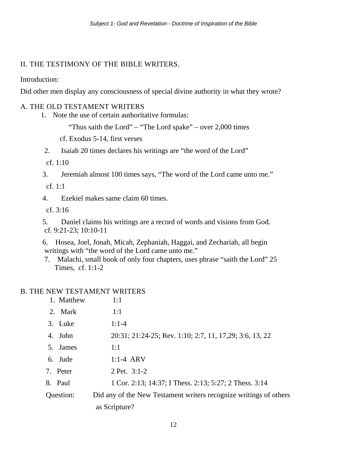#### II. THE TESTIMONY OF THE BIBLE WRITERS.

Introduction:

Did other men display any consciousness of special divine authority in what they wrote?

#### A. THE OLD TESTAMENT WRITERS

1. Note the use of certain authoritative formulas:

"Thus saith the Lord" – "The Lord spake" – over 2,000 times

cf. Exodus 5-14, first verses

2. Isaiah 20 times declares his writings are "the word of the Lord"

cf. 1:10

3. Jeremiah almost 100 times says, "The word of the Lord came unto me."

cf. 1:1

4. Ezekiel makes same claim 60 times.

cf. 3:16

 5. Daniel claims his writings are a record of words and visions from God. cf. 9:21-23; 10:10-11

 6. Hosea, Joel, Jonah, Micah, Zephaniah, Haggai, and Zechariah, all begin writings with "the word of the Lord came unto me."

 7. Malachi, small book of only four chapters, uses phrase "saith the Lord" 25 Times, cf. 1:1-2

#### B. THE NEW TESTAMENT WRITERS

| 1. Matthew | 1:1                                                               |
|------------|-------------------------------------------------------------------|
| 2. Mark    | 1:1                                                               |
| 3. Luke    | $1:1-4$                                                           |
| 4. John    | 20:31; 21:24-25; Rev. 1:10; 2:7, 11, 17,29; 3:6, 13, 22           |
| 5. James   | 1:1                                                               |
| 6. Jude    | $1:1-4$ ARV                                                       |
| 7. Peter   | 2 Pet. 3:1-2                                                      |
| 8. Paul    | 1 Cor. 2:13; 14:37; I Thess. 2:13; 5:27; 2 Thess. 3:14            |
| Question:  | Did any of the New Testament writers recognize writings of others |
|            | as Scripture?                                                     |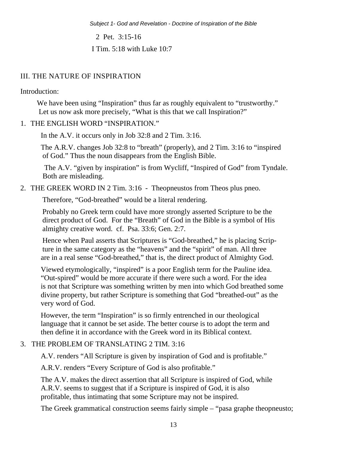2 Pet. 3:15-16 I Tim. 5:18 with Luke 10:7

#### III. THE NATURE OF INSPIRATION

#### Introduction:

We have been using "Inspiration" thus far as roughly equivalent to "trustworthy." Let us now ask more precisely, "What is this that we call Inspiration?"

# 1. THE ENGLISH WORD "INSPIRATION."

In the A.V. it occurs only in Job 32:8 and 2 Tim. 3:16.

 The A.R.V. changes Job 32:8 to "breath" (properly), and 2 Tim. 3:16 to "inspired of God." Thus the noun disappears from the English Bible.

 The A.V. "given by inspiration" is from Wycliff, "Inspired of God" from Tyndale. Both are misleading.

# 2. THE GREEK WORD IN 2 Tim. 3:16 - Theopneustos from Theos plus pneo.

Therefore, "God-breathed" would be a literal rendering.

 Probably no Greek term could have more strongly asserted Scripture to be the direct product of God. For the "Breath" of God in the Bible is a symbol of His almighty creative word. cf. Psa. 33:6; Gen. 2:7.

 Hence when Paul asserts that Scriptures is "God-breathed," he is placing Scrip ture in the same category as the "heavens" and the "spirit" of man. All three are in a real sense "God-breathed," that is, the direct product of Almighty God.

 Viewed etymologically, "inspired" is a poor English term for the Pauline idea. "Out-spired" would be more accurate if there were such a word. For the idea is not that Scripture was something written by men into which God breathed some divine property, but rather Scripture is something that God "breathed-out" as the very word of God.

 However, the term "Inspiration" is so firmly entrenched in our theological language that it cannot be set aside. The better course is to adopt the term and then define it in accordance with the Greek word in its Biblical context.

# 3. THE PROBLEM OF TRANSLATING 2 TIM. 3:16

A.V. renders "All Scripture is given by inspiration of God and is profitable."

A.R.V. renders "Every Scripture of God is also profitable."

 The A.V. makes the direct assertion that all Scripture is inspired of God, while A.R.V. seems to suggest that if a Scripture is inspired of God, it is also profitable, thus intimating that some Scripture may not be inspired.

The Greek grammatical construction seems fairly simple – "pasa graphe theopneusto;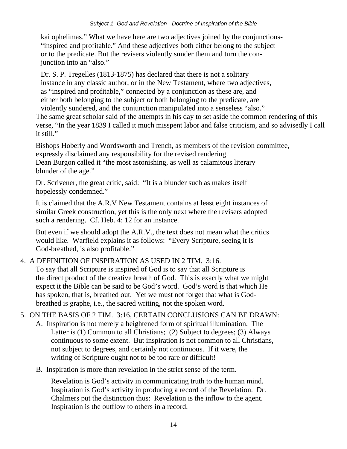kai ophelimas." What we have here are two adjectives joined by the conjunctions- "inspired and profitable." And these adjectives both either belong to the subject or to the predicate. But the revisers violently sunder them and turn the con junction into an "also."

 Dr. S. P. Tregelles (1813-1875) has declared that there is not a solitary instance in any classic author, or in the New Testament, where two adjectives, as "inspired and profitable," connected by a conjunction as these are, and either both belonging to the subject or both belonging to the predicate, are violently sundered, and the conjunction manipulated into a senseless "also."

The same great scholar said of the attempts in his day to set aside the common rendering of this verse, "In the year 1839 I called it much misspent labor and false criticism, and so advisedly I call it still."

Bishops Hoberly and Wordsworth and Trench, as members of the revision committee, expressly disclaimed any responsibility for the revised rendering. Dean Burgon called it "the most astonishing, as well as calamitous literary blunder of the age."

Dr. Scrivener, the great critic, said: "It is a blunder such as makes itself hopelessly condemned."

It is claimed that the A.R.V New Testament contains at least eight instances of similar Greek construction, yet this is the only next where the revisers adopted such a rendering. Cf. Heb. 4: 12 for an instance.

But even if we should adopt the A.R.V., the text does not mean what the critics would like. Warfield explains it as follows: "Every Scripture, seeing it is God-breathed, is also profitable."

# 4. A DEFINITION OF INSPIRATION AS USED IN 2 TIM. 3:16.

To say that all Scripture is inspired of God is to say that all Scripture is the direct product of the creative breath of God. This is exactly what we might expect it the Bible can be said to be God's word. God's word is that which He has spoken, that is, breathed out. Yet we must not forget that what is Godbreathed is graphe, i.e., the sacred writing, not the spoken word.

#### 5. ON THE BASIS OF 2 TIM. 3:16, CERTAIN CONCLUSIONS CAN BE DRAWN:

- A. Inspiration is not merely a heightened form of spiritual illumination. The Latter is (1) Common to all Christians; (2) Subject to degrees; (3) Always continuous to some extent. But inspiration is not common to all Christians, not subject to degrees, and certainly not continuous. If it were, the writing of Scripture ought not to be too rare or difficult!
- B. Inspiration is more than revelation in the strict sense of the term.

Revelation is God's activity in communicating truth to the human mind. Inspiration is God's activity in producing a record of the Revelation. Dr. Chalmers put the distinction thus: Revelation is the inflow to the agent. Inspiration is the outflow to others in a record.